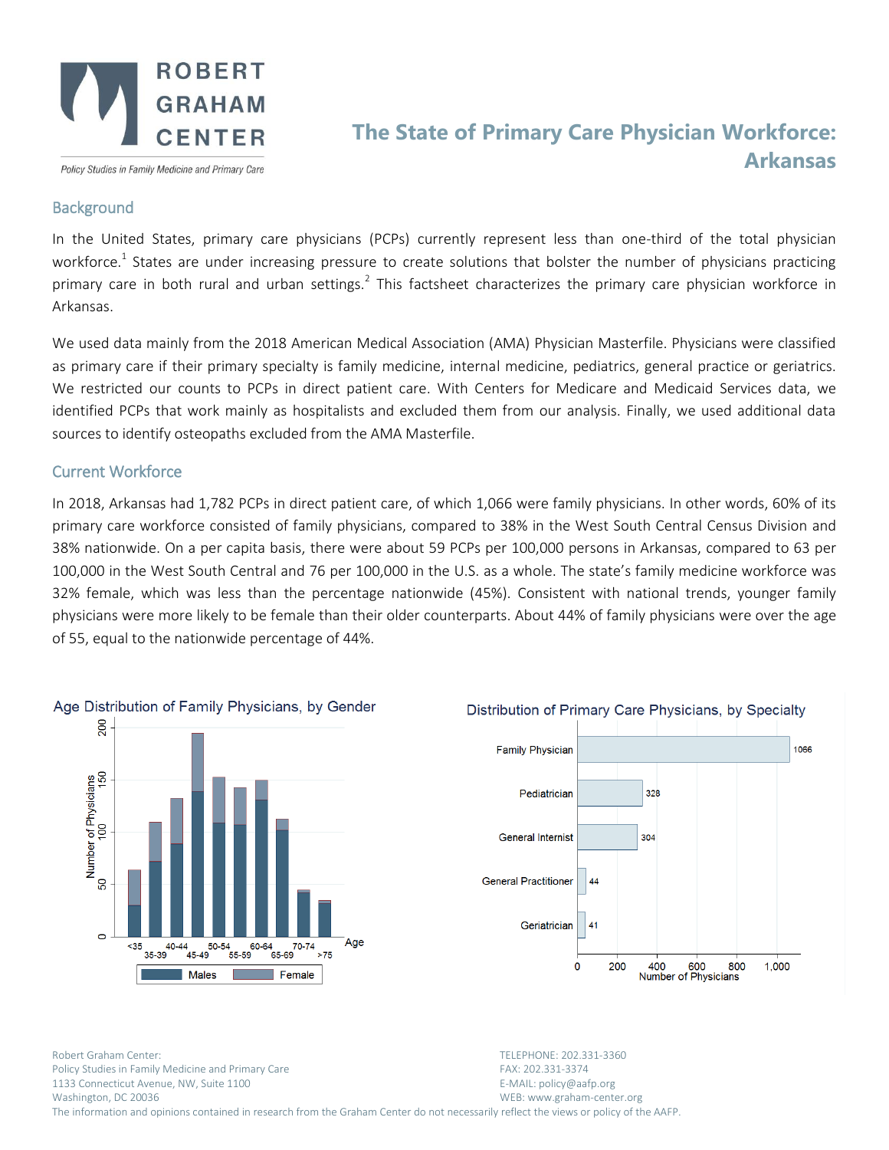

Policy Studies in Family Medicine and Primary Care

## **The State of Primary Care Physician Workforce: Arkansas**

## **Background**

In the United States, primary care physicians (PCPs) currently represent less than one-third of the total physician workforce.<sup>1</sup> States are under increasing pressure to create solutions that bolster the number of physicians practicing primary care in both rural and urban settings.<sup>2</sup> This factsheet characterizes the primary care physician workforce in Arkansas.

We used data mainly from the 2018 American Medical Association (AMA) Physician Masterfile. Physicians were classified as primary care if their primary specialty is family medicine, internal medicine, pediatrics, general practice or geriatrics. We restricted our counts to PCPs in direct patient care. With Centers for Medicare and Medicaid Services data, we identified PCPs that work mainly as hospitalists and excluded them from our analysis. Finally, we used additional data sources to identify osteopaths excluded from the AMA Masterfile.

## Current Workforce

In 2018, Arkansas had 1,782 PCPs in direct patient care, of which 1,066 were family physicians. In other words, 60% of its primary care workforce consisted of family physicians, compared to 38% in the West South Central Census Division and 38% nationwide. On a per capita basis, there were about 59 PCPs per 100,000 persons in Arkansas, compared to 63 per 100,000 in the West South Central and 76 per 100,000 in the U.S. as a whole. The state's family medicine workforce was 32% female, which was less than the percentage nationwide (45%). Consistent with national trends, younger family physicians were more likely to be female than their older counterparts. About 44% of family physicians were over the age of 55, equal to the nationwide percentage of 44%.